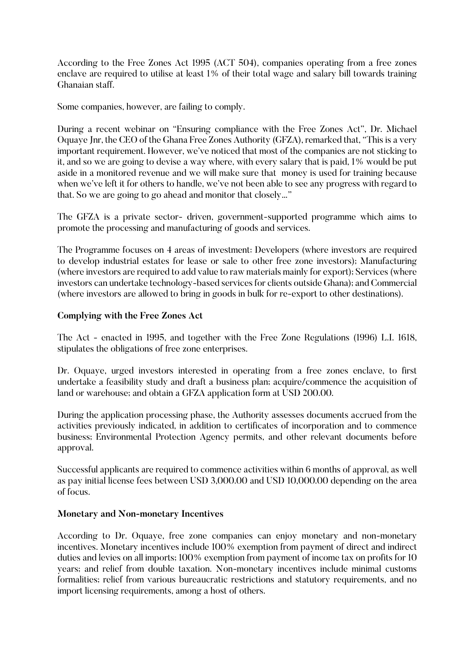According to the Free Zones Act 1995 (ACT 504), companies operating from a free zones enclave are required to utilise at least 1% of their total wage and salary bill towards training Ghanaian staff.

Some companies, however, are failing to comply.

During a recent webinar on "Ensuring compliance with the Free Zones Act", Dr. Michael Oquaye Jnr, the CEO of the Ghana Free Zones Authority (GFZA), remarked that, "This is a very important requirement. However, we've noticed that most of the companies are not sticking to it, and so we are going to devise a way where, with every salary that is paid, 1% would be put aside in a monitored revenue and we will make sure that money is used for training because when we've left it for others to handle, we've not been able to see any progress with regard to that. So we are going to go ahead and monitor that closely…"

The GFZA is a private sector- driven, government-supported programme which aims to promote the processing and manufacturing of goods and services.

The Programme focuses on 4 areas of investment: Developers (where investors are required to develop industrial estates for lease or sale to other free zone investors); Manufacturing (where investors are required to add value to raw materials mainly for export); Services (where investors can undertake technology-based services for clients outside Ghana); and Commercial (where investors are allowed to bring in goods in bulk for re-export to other destinations).

## **Complying with the Free Zones Act**

The Act - enacted in 1995, and together with the Free Zone Regulations (1996) L.I. 1618, stipulates the obligations of free zone enterprises.

Dr. Oquaye, urged investors interested in operating from a free zones enclave, to first undertake a feasibility study and draft a business plan; acquire/commence the acquisition of land or warehouse; and obtain a GFZA application form at USD 200.00.

During the application processing phase, the Authority assesses documents accrued from the activities previously indicated, in addition to certificates of incorporation and to commence business; Environmental Protection Agency permits, and other relevant documents before approval.

Successful applicants are required to commence activities within 6 months of approval, as well as pay initial license fees between USD 3,000.00 and USD 10,000.00 depending on the area of focus.

## **Monetary and Non-monetary Incentives**

According to Dr. Oquaye, free zone companies can enjoy monetary and non-monetary incentives. Monetary incentives include 100% exemption from payment of direct and indirect duties and levies on all imports; 100% exemption from payment of income tax on profits for 10 years; and relief from double taxation. Non-monetary incentives include minimal customs formalities; relief from various bureaucratic restrictions and statutory requirements, and no import licensing requirements, among a host of others.